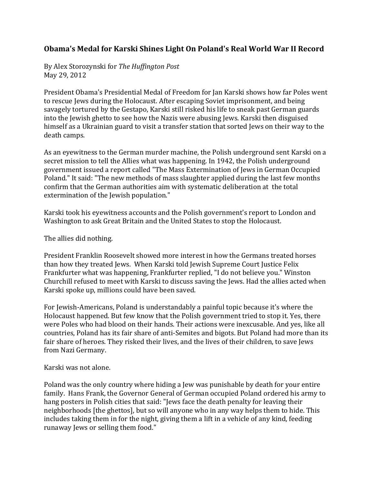## Obama's Medal for Karski Shines Light On Poland's Real World War II Record

By!Alex!Storozynski for!*The\$Huffington\$Post* May 29, 2012

President Obama's Presidential Medal of Freedom for Jan Karski shows how far Poles went to rescue Jews during the Holocaust. After escaping Soviet imprisonment, and being savagely tortured by the Gestapo, Karski still risked his life to sneak past German guards into the Jewish ghetto to see how the Nazis were abusing Jews. Karski then disguised himself as a Ukrainian guard to visit a transfer station that sorted Jews on their way to the death camps.

As an eyewitness to the German murder machine, the Polish underground sent Karski on a secret mission to tell the Allies what was happening. In 1942, the Polish underground government issued a report called "The Mass Extermination of Jews in German Occupied Poland." It said: "The new methods of mass slaughter applied during the last few months confirm that the German authorities aim with systematic deliberation at the total extermination of the Jewish population."

Karski took his eyewitness accounts and the Polish government's report to London and Washington to ask Great Britain and the United States to stop the Holocaust.

The allies did nothing.

President Franklin Roosevelt showed more interest in how the Germans treated horses than how they treated Jews. When Karski told Jewish Supreme Court Justice Felix Frankfurter what was happening, Frankfurter replied, "I do not believe you." Winston Churchill refused to meet with Karski to discuss saving the Jews. Had the allies acted when Karski spoke up, millions could have been saved.

For Jewish-Americans, Poland is understandably a painful topic because it's where the Holocaust happened. But few know that the Polish government tried to stop it. Yes, there were Poles who had blood on their hands. Their actions were inexcusable. And yes, like all countries, Poland has its fair share of anti-Semites and bigots. But Poland had more than its fair share of heroes. They risked their lives, and the lives of their children, to save Jews from Nazi Germany.

Karski was not alone.

Poland was the only country where hiding a Jew was punishable by death for your entire family. Hans Frank, the Governor General of German occupied Poland ordered his army to hang posters in Polish cities that said: "Jews face the death penalty for leaving their neighborhoods [the ghettos], but so will anyone who in any way helps them to hide. This includes taking them in for the night, giving them a lift in a vehicle of any kind, feeding runaway Jews or selling them food."